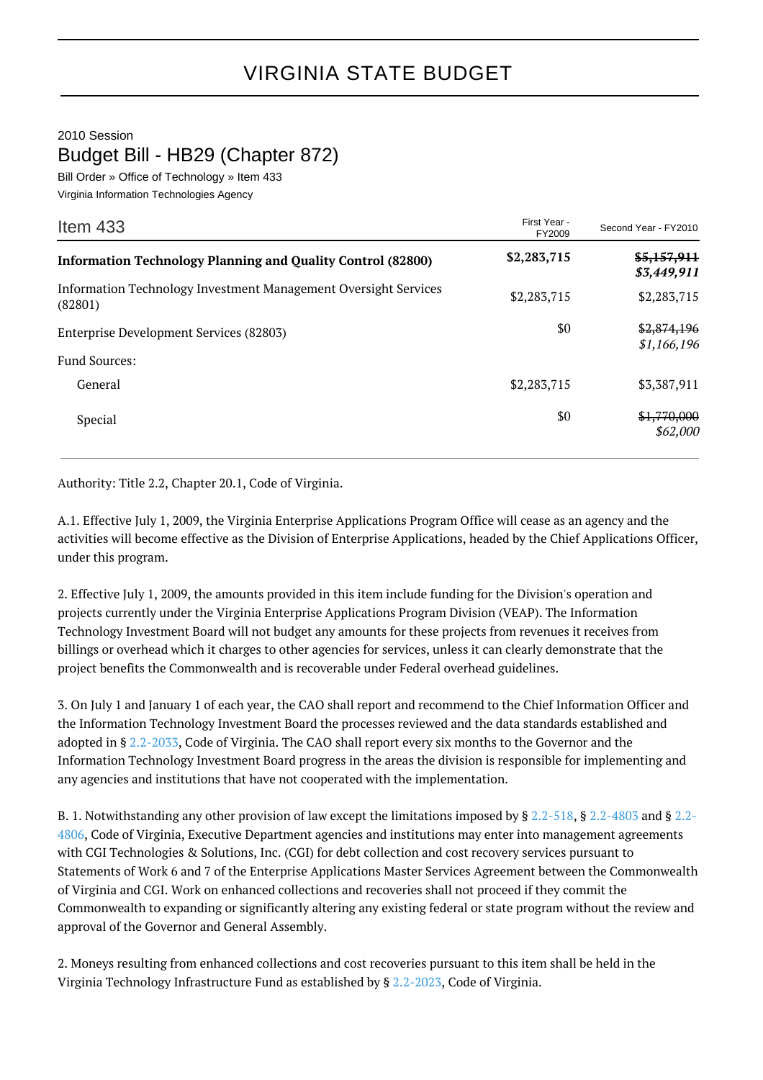## VIRGINIA STATE BUDGET

2010 Session Budget Bill - HB29 (Chapter 872)

Bill Order » Office of Technology » Item 433 Virginia Information Technologies Agency

| Item $433$                                                                 | First Year -<br>FY2009 | Second Year - FY2010       |
|----------------------------------------------------------------------------|------------------------|----------------------------|
| <b>Information Technology Planning and Quality Control (82800)</b>         | \$2,283,715            | \$5,157,911<br>\$3,449,911 |
| Information Technology Investment Management Oversight Services<br>(82801) | \$2,283,715            | \$2,283,715                |
| Enterprise Development Services (82803)                                    | \$0                    | \$2,874,196<br>\$1,166,196 |
| <b>Fund Sources:</b>                                                       |                        |                            |
| General                                                                    | \$2,283,715            | \$3,387,911                |
| Special                                                                    | \$0                    | \$1,770,000<br>\$62,000    |

Authority: Title 2.2, Chapter 20.1, Code of Virginia.

A.1. Effective July 1, 2009, the Virginia Enterprise Applications Program Office will cease as an agency and the activities will become effective as the Division of Enterprise Applications, headed by the Chief Applications Officer, under this program.

2. Effective July 1, 2009, the amounts provided in this item include funding for the Division's operation and projects currently under the Virginia Enterprise Applications Program Division (VEAP). The Information Technology Investment Board will not budget any amounts for these projects from revenues it receives from billings or overhead which it charges to other agencies for services, unless it can clearly demonstrate that the project benefits the Commonwealth and is recoverable under Federal overhead guidelines.

3. On July 1 and January 1 of each year, the CAO shall report and recommend to the Chief Information Officer and the Information Technology Investment Board the processes reviewed and the data standards established and adopted in § [2.2-2033](http://law.lis.virginia.gov/vacode/2.2-2033/), Code of Virginia. The CAO shall report every six months to the Governor and the Information Technology Investment Board progress in the areas the division is responsible for implementing and any agencies and institutions that have not cooperated with the implementation.

B. 1. Notwithstanding any other provision of law except the limitations imposed by § [2.2-518](http://law.lis.virginia.gov/vacode/2.2-518/), § [2.2-4803](http://law.lis.virginia.gov/vacode/2.2-4803/) and § [2.2-](http://law.lis.virginia.gov/vacode/2.2-4806/) [4806,](http://law.lis.virginia.gov/vacode/2.2-4806/) Code of Virginia, Executive Department agencies and institutions may enter into management agreements with CGI Technologies & Solutions, Inc. (CGI) for debt collection and cost recovery services pursuant to Statements of Work 6 and 7 of the Enterprise Applications Master Services Agreement between the Commonwealth of Virginia and CGI. Work on enhanced collections and recoveries shall not proceed if they commit the Commonwealth to expanding or significantly altering any existing federal or state program without the review and approval of the Governor and General Assembly.

2. Moneys resulting from enhanced collections and cost recoveries pursuant to this item shall be held in the Virginia Technology Infrastructure Fund as established by § [2.2-2023](http://law.lis.virginia.gov/vacode/2.2-2023/), Code of Virginia.